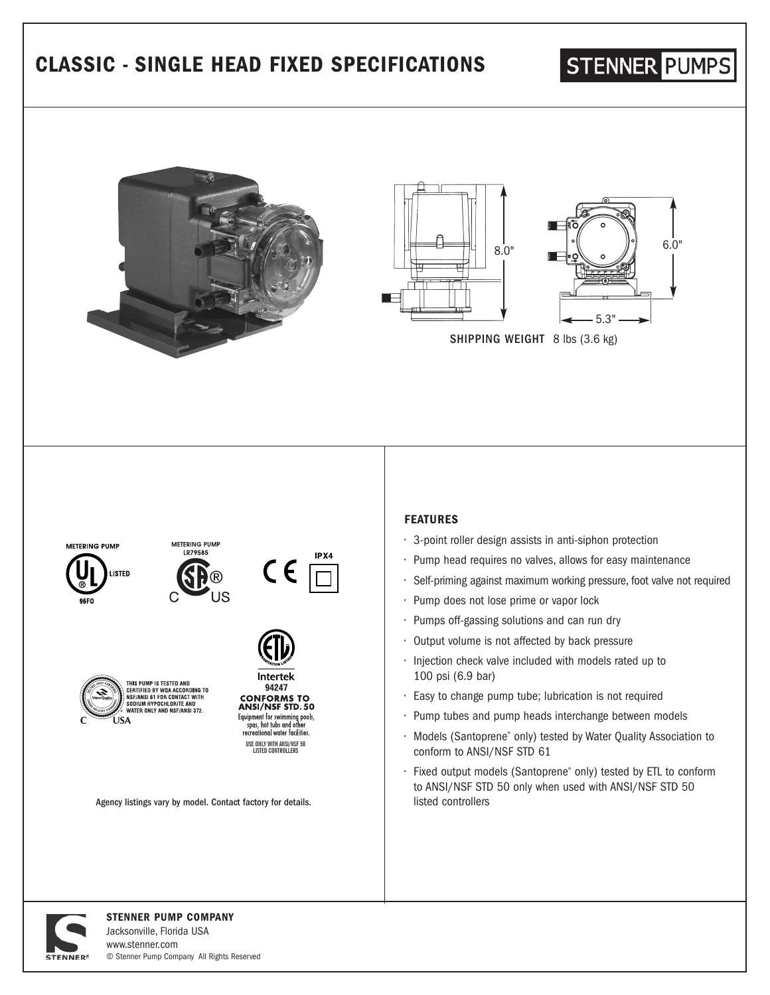## **CLASSIC - SINGLE HEAD FIXED SPECIFICATIONS**

# **STENNER PUMPS**





SHIPPING WEIGHT 8 lbs (3.6 kg)



Jacksonville, Florida USA www.stenner.com © Stenner Pump Company All Rights Reserved

**STENNED?**